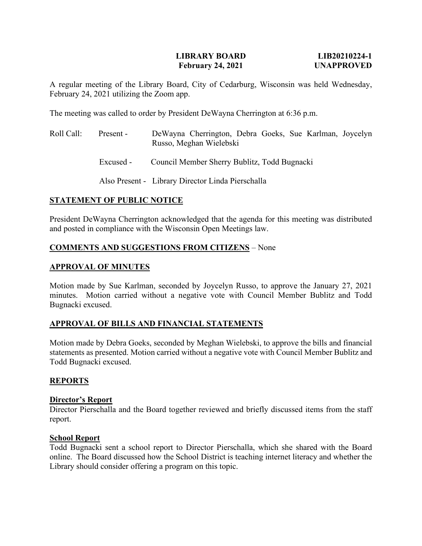# **LIBRARY BOARD LIB20210224-1 February 24, 2021 UNAPPROVED**

A regular meeting of the Library Board, City of Cedarburg, Wisconsin was held Wednesday, February 24, 2021 utilizing the Zoom app.

The meeting was called to order by President DeWayna Cherrington at 6:36 p.m.

Roll Call: Present - DeWayna Cherrington, Debra Goeks, Sue Karlman, Joycelyn Russo, Meghan Wielebski Excused - Council Member Sherry Bublitz, Todd Bugnacki Also Present - Library Director Linda Pierschalla

# **STATEMENT OF PUBLIC NOTICE**

President DeWayna Cherrington acknowledged that the agenda for this meeting was distributed and posted in compliance with the Wisconsin Open Meetings law.

# **COMMENTS AND SUGGESTIONS FROM CITIZENS** – None

## **APPROVAL OF MINUTES**

Motion made by Sue Karlman, seconded by Joycelyn Russo, to approve the January 27, 2021 minutes. Motion carried without a negative vote with Council Member Bublitz and Todd Bugnacki excused.

## **APPROVAL OF BILLS AND FINANCIAL STATEMENTS**

Motion made by Debra Goeks, seconded by Meghan Wielebski, to approve the bills and financial statements as presented. Motion carried without a negative vote with Council Member Bublitz and Todd Bugnacki excused.

## **REPORTS**

## **Director's Report**

Director Pierschalla and the Board together reviewed and briefly discussed items from the staff report.

#### **School Report**

Todd Bugnacki sent a school report to Director Pierschalla, which she shared with the Board online. The Board discussed how the School District is teaching internet literacy and whether the Library should consider offering a program on this topic.